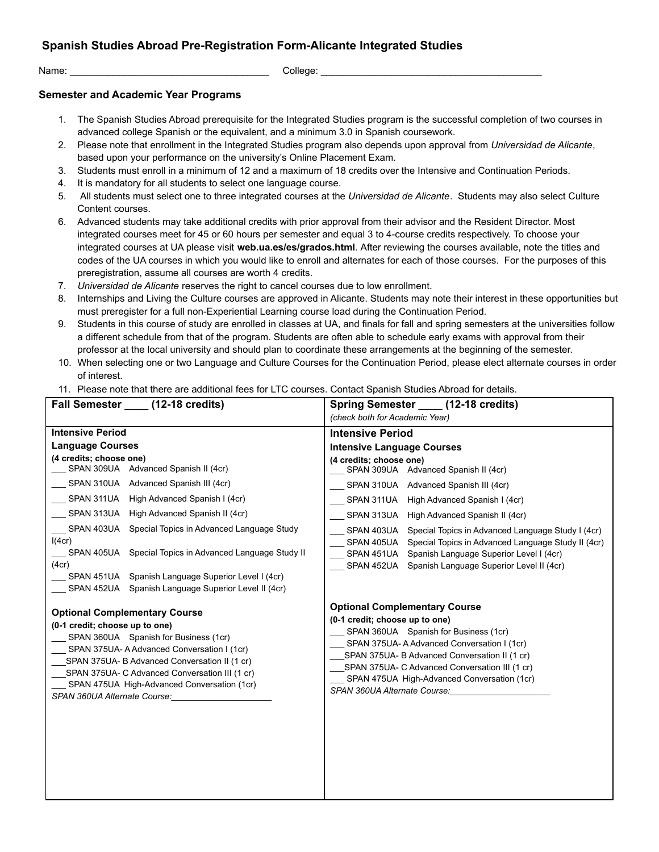## **Spanish Studies Abroad Pre-Registration Form-Alicante Integrated Studies**

Name: \_\_\_\_\_\_\_\_\_\_\_\_\_\_\_\_\_\_\_\_\_\_\_\_\_\_\_\_\_\_\_\_\_\_\_\_\_ College: \_\_\_\_\_\_\_\_\_\_\_\_\_\_\_\_\_\_\_\_\_\_\_\_\_\_\_\_\_\_\_\_\_\_\_\_\_\_\_\_\_

## **Semester and Academic Year Programs**

- 1. The Spanish Studies Abroad prerequisite for the Integrated Studies program is the successful completion of two courses in advanced college Spanish or the equivalent, and a minimum 3.0 in Spanish coursework.
- 2. Please note that enrollment in the Integrated Studies program also depends upon approval from *Universidad de Alicante*, based upon your performance on the university's Online Placement Exam.
- 3. Students must enroll in a minimum of 12 and a maximum of 18 credits over the Intensive and Continuation Periods.
- 4. It is mandatory for all students to select one language course.
- 5. All students must select one to three integrated courses at the *Universidad de Alicante*. Students may also select Culture Content courses.
- 6. Advanced students may take additional credits with prior approval from their advisor and the Resident Director. Most integrated courses meet for 45 or 60 hours per semester and equal 3 to 4-course credits respectively. To choose your integrated courses at UA please visit **web.ua.es/es/grados.html**. After reviewing the courses available, note the titles and codes of the UA courses in which you would like to enroll and alternates for each of those courses. For the purposes of this preregistration, assume all courses are worth 4 credits.
- 7. *Universidad de Alicante* reserves the right to cancel courses due to low enrollment.
- 8. Internships and Living the Culture courses are approved in Alicante. Students may note their interest in these opportunities but must preregister for a full non-Experiential Learning course load during the Continuation Period.
- 9. Students in this course of study are enrolled in classes at UA, and finals for fall and spring semesters at the universities follow a different schedule from that of the program. Students are often able to schedule early exams with approval from their professor at the local university and should plan to coordinate these arrangements at the beginning of the semester.
- 10. When selecting one or two Language and Culture Courses for the Continuation Period, please elect alternate courses in order of interest.
- 11. Please note that there are additional fees for LTC courses. Contact Spanish Studies Abroad for details.

| Fall Semester _____ (12-18 credits)                                                                                                                                                                                                                                                                                                             | Spring Semester _____ (12-18 credits)                                                                                                                                                                                                                                                                                                           |
|-------------------------------------------------------------------------------------------------------------------------------------------------------------------------------------------------------------------------------------------------------------------------------------------------------------------------------------------------|-------------------------------------------------------------------------------------------------------------------------------------------------------------------------------------------------------------------------------------------------------------------------------------------------------------------------------------------------|
|                                                                                                                                                                                                                                                                                                                                                 | (check both for Academic Year)                                                                                                                                                                                                                                                                                                                  |
| <b>Intensive Period</b>                                                                                                                                                                                                                                                                                                                         | <b>Intensive Period</b>                                                                                                                                                                                                                                                                                                                         |
| <b>Language Courses</b>                                                                                                                                                                                                                                                                                                                         | <b>Intensive Language Courses</b>                                                                                                                                                                                                                                                                                                               |
| (4 credits; choose one)<br>SPAN 309UA Advanced Spanish II (4cr)<br>SPAN 310UA Advanced Spanish III (4cr)<br>High Advanced Spanish I (4cr)<br>SPAN 311UA                                                                                                                                                                                         | (4 credits; choose one)<br>SPAN 309UA Advanced Spanish II (4cr)<br>SPAN 310UA Advanced Spanish III (4cr)                                                                                                                                                                                                                                        |
|                                                                                                                                                                                                                                                                                                                                                 | SPAN 311UA High Advanced Spanish I (4cr)                                                                                                                                                                                                                                                                                                        |
| High Advanced Spanish II (4cr)<br>SPAN 313UA<br>Special Topics in Advanced Language Study<br>SPAN 403UA<br>I(4cr)<br>SPAN 405UA Special Topics in Advanced Language Study II<br>(4cr)<br>SPAN 451UA Spanish Language Superior Level I (4cr)<br>SPAN 452UA Spanish Language Superior Level II (4cr)                                              | High Advanced Spanish II (4cr)<br>SPAN 313UA<br>SPAN 403UA<br>Special Topics in Advanced Language Study I (4cr)<br>Special Topics in Advanced Language Study II (4cr)<br>SPAN 405UA<br>Spanish Language Superior Level I (4cr)<br>SPAN 451UA<br>Spanish Language Superior Level II (4cr)<br>SPAN 452UA                                          |
| <b>Optional Complementary Course</b><br>(0-1 credit; choose up to one)<br>SPAN 360UA Spanish for Business (1cr)<br>SPAN 375UA-A Advanced Conversation I (1cr)<br>SPAN 375UA- B Advanced Conversation II (1 cr)<br>SPAN 375UA- C Advanced Conversation III (1 cr)<br>SPAN 475UA High-Advanced Conversation (1cr)<br>SPAN 360UA Alternate Course: | <b>Optional Complementary Course</b><br>(0-1 credit; choose up to one)<br>SPAN 360UA Spanish for Business (1cr)<br>SPAN 375UA-A Advanced Conversation I (1cr)<br>SPAN 375UA- B Advanced Conversation II (1 cr)<br>SPAN 375UA- C Advanced Conversation III (1 cr)<br>SPAN 475UA High-Advanced Conversation (1cr)<br>SPAN 360UA Alternate Course: |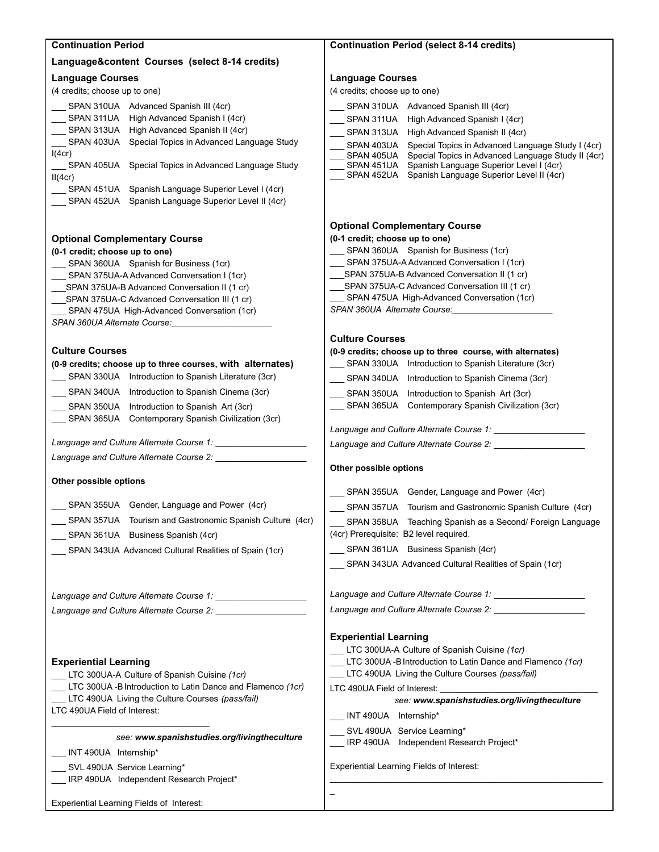| Language&content Courses (select 8-14 credits)<br><b>Language Courses</b><br><b>Language Courses</b><br>(4 credits; choose up to one)<br>(4 credits; choose up to one)<br>SPAN 310UA Advanced Spanish III (4cr)<br>SPAN 310UA Advanced Spanish III (4cr)<br>SPAN 311UA High Advanced Spanish I (4cr)<br>SPAN 311UA High Advanced Spanish I (4cr)<br>SPAN 313UA High Advanced Spanish II (4cr)<br>SPAN 313UA<br>High Advanced Spanish II (4cr)<br>SPAN 403UA Special Topics in Advanced Language Study<br>SPAN 403UA<br>Special Topics in Advanced Language Study I (4cr)<br>I(4cr)<br>Special Topics in Advanced Language Study II (4cr)<br>SPAN 405UA<br>Spanish Language Superior Level I (4cr)<br>SPAN 405UA Special Topics in Advanced Language Study<br>SPAN 451UA<br>SPAN 452UA Spanish Language Superior Level II (4cr)<br>II(4cr)<br>SPAN 451UA Spanish Language Superior Level I (4cr)<br>SPAN 452UA Spanish Language Superior Level II (4cr)<br><b>Optional Complementary Course</b><br>(0-1 credit; choose up to one)<br><b>Optional Complementary Course</b><br>SPAN 360UA Spanish for Business (1cr)<br>(0-1 credit; choose up to one)<br>SPAN 375UA-A Advanced Conversation I (1cr)<br>SPAN 360UA Spanish for Business (1cr)<br>SPAN 375UA-B Advanced Conversation II (1 cr)<br>SPAN 375UA-A Advanced Conversation I (1cr)<br>SPAN 375UA-C Advanced Conversation III (1 cr)<br>SPAN 375UA-B Advanced Conversation II (1 cr)<br>__ SPAN 475UA High-Advanced Conversation (1cr)<br>SPAN 375UA-C Advanced Conversation III (1 cr)<br>SPAN 360UA Alternate Course:<br>SPAN 475UA High-Advanced Conversation (1cr)<br>SPAN 360UA Alternate Course:<br><b>Culture Courses</b><br><b>Culture Courses</b><br>(0-9 credits; choose up to three course, with alternates)<br>__ SPAN 330UA Introduction to Spanish Literature (3cr)<br>(0-9 credits; choose up to three courses, with alternates)<br>SPAN 330UA Introduction to Spanish Literature (3cr)<br>SPAN 340UA Introduction to Spanish Cinema (3cr)<br>SPAN 340UA Introduction to Spanish Cinema (3cr)<br>__ SPAN 350UA Introduction to Spanish Art (3cr)<br>__ SPAN 365UA Contemporary Spanish Civilization (3cr)<br>SPAN 350UA Introduction to Spanish Art (3cr)<br>__ SPAN 365UA Contemporary Spanish Civilization (3cr)<br>Language and Culture Alternate Course 1:<br>Language and Culture Alternate Course 1:<br>Language and Culture Alternate Course 2:<br>Other possible options<br>Other possible options<br>__ SPAN 355UA Gender, Language and Power (4cr)<br>SPAN 355UA Gender, Language and Power (4cr)<br>SPAN 357UA Tourism and Gastronomic Spanish Culture (4cr)<br>SPAN 357UA Tourism and Gastronomic Spanish Culture (4cr)<br>SPAN 358UA Teaching Spanish as a Second/ Foreign Language<br>(4cr) Prerequisite: B2 level required.<br>SPAN 361UA Business Spanish (4cr)<br>___ SPAN 361UA Business Spanish (4cr)<br>SPAN 343UA Advanced Cultural Realities of Spain (1cr)<br>SPAN 343UA Advanced Cultural Realities of Spain (1cr)<br>Language and Culture Alternate Course 1:<br>Language and Culture Alternate Course 2: _______________<br><b>Experiential Learning</b><br>LTC 300UA-A Culture of Spanish Cuisine (1cr)<br>LTC 300UA -B Introduction to Latin Dance and Flamenco (1cr)<br><b>Experiential Learning</b><br>LTC 490UA Living the Culture Courses (pass/fail)<br>LTC 300UA-A Culture of Spanish Cuisine (1cr)<br>LTC 300UA -B Introduction to Latin Dance and Flamenco (1cr)<br>LTC 490UA Field of Interest:<br>LTC 490UA Living the Culture Courses (pass/fail)<br>see: www.spanishstudies.org/livingtheculture<br>LTC 490UA Field of Interest:<br>___ INT 490UA Internship*<br>SVL 490UA Service Learning*<br>see: www.spanishstudies.org/livingtheculture<br>IRP 490UA Independent Research Project*<br>INT 490UA Internship*<br>Experiential Learning Fields of Interest:<br>SVL 490UA Service Learning*<br>_IRP 490UA Independent Research Project*<br>Experiential Learning Fields of Interest: | <b>Continuation Period</b> | <b>Continuation Period (select 8-14 credits)</b> |
|---------------------------------------------------------------------------------------------------------------------------------------------------------------------------------------------------------------------------------------------------------------------------------------------------------------------------------------------------------------------------------------------------------------------------------------------------------------------------------------------------------------------------------------------------------------------------------------------------------------------------------------------------------------------------------------------------------------------------------------------------------------------------------------------------------------------------------------------------------------------------------------------------------------------------------------------------------------------------------------------------------------------------------------------------------------------------------------------------------------------------------------------------------------------------------------------------------------------------------------------------------------------------------------------------------------------------------------------------------------------------------------------------------------------------------------------------------------------------------------------------------------------------------------------------------------------------------------------------------------------------------------------------------------------------------------------------------------------------------------------------------------------------------------------------------------------------------------------------------------------------------------------------------------------------------------------------------------------------------------------------------------------------------------------------------------------------------------------------------------------------------------------------------------------------------------------------------------------------------------------------------------------------------------------------------------------------------------------------------------------------------------------------------------------------------------------------------------------------------------------------------------------------------------------------------------------------------------------------------------------------------------------------------------------------------------------------------------------------------------------------------------------------------------------------------------------------------------------------------------------------------------------------------------------------------------------------------------------------------------------------------------------------------------------------------------------------------------------------------------------------------------------------------------------------------------------------------------------------------------------------------------------------------------------------------------------------------------------------------------------------------------------------------------------------------------------------------------------------------------------------------------------------------------------------------------------------------------------------------------------------------------------------------------------------------------------------------------------------------------------------------------------------------------------------------------------------------------------------------------------------------------------------------------------------------------------------------------------------------------------------|----------------------------|--------------------------------------------------|
|                                                                                                                                                                                                                                                                                                                                                                                                                                                                                                                                                                                                                                                                                                                                                                                                                                                                                                                                                                                                                                                                                                                                                                                                                                                                                                                                                                                                                                                                                                                                                                                                                                                                                                                                                                                                                                                                                                                                                                                                                                                                                                                                                                                                                                                                                                                                                                                                                                                                                                                                                                                                                                                                                                                                                                                                                                                                                                                                                                                                                                                                                                                                                                                                                                                                                                                                                                                                                                                                                                                                                                                                                                                                                                                                                                                                                                                                                                                                                                                                   |                            |                                                  |
|                                                                                                                                                                                                                                                                                                                                                                                                                                                                                                                                                                                                                                                                                                                                                                                                                                                                                                                                                                                                                                                                                                                                                                                                                                                                                                                                                                                                                                                                                                                                                                                                                                                                                                                                                                                                                                                                                                                                                                                                                                                                                                                                                                                                                                                                                                                                                                                                                                                                                                                                                                                                                                                                                                                                                                                                                                                                                                                                                                                                                                                                                                                                                                                                                                                                                                                                                                                                                                                                                                                                                                                                                                                                                                                                                                                                                                                                                                                                                                                                   |                            |                                                  |
|                                                                                                                                                                                                                                                                                                                                                                                                                                                                                                                                                                                                                                                                                                                                                                                                                                                                                                                                                                                                                                                                                                                                                                                                                                                                                                                                                                                                                                                                                                                                                                                                                                                                                                                                                                                                                                                                                                                                                                                                                                                                                                                                                                                                                                                                                                                                                                                                                                                                                                                                                                                                                                                                                                                                                                                                                                                                                                                                                                                                                                                                                                                                                                                                                                                                                                                                                                                                                                                                                                                                                                                                                                                                                                                                                                                                                                                                                                                                                                                                   |                            |                                                  |
|                                                                                                                                                                                                                                                                                                                                                                                                                                                                                                                                                                                                                                                                                                                                                                                                                                                                                                                                                                                                                                                                                                                                                                                                                                                                                                                                                                                                                                                                                                                                                                                                                                                                                                                                                                                                                                                                                                                                                                                                                                                                                                                                                                                                                                                                                                                                                                                                                                                                                                                                                                                                                                                                                                                                                                                                                                                                                                                                                                                                                                                                                                                                                                                                                                                                                                                                                                                                                                                                                                                                                                                                                                                                                                                                                                                                                                                                                                                                                                                                   |                            |                                                  |
|                                                                                                                                                                                                                                                                                                                                                                                                                                                                                                                                                                                                                                                                                                                                                                                                                                                                                                                                                                                                                                                                                                                                                                                                                                                                                                                                                                                                                                                                                                                                                                                                                                                                                                                                                                                                                                                                                                                                                                                                                                                                                                                                                                                                                                                                                                                                                                                                                                                                                                                                                                                                                                                                                                                                                                                                                                                                                                                                                                                                                                                                                                                                                                                                                                                                                                                                                                                                                                                                                                                                                                                                                                                                                                                                                                                                                                                                                                                                                                                                   |                            |                                                  |
|                                                                                                                                                                                                                                                                                                                                                                                                                                                                                                                                                                                                                                                                                                                                                                                                                                                                                                                                                                                                                                                                                                                                                                                                                                                                                                                                                                                                                                                                                                                                                                                                                                                                                                                                                                                                                                                                                                                                                                                                                                                                                                                                                                                                                                                                                                                                                                                                                                                                                                                                                                                                                                                                                                                                                                                                                                                                                                                                                                                                                                                                                                                                                                                                                                                                                                                                                                                                                                                                                                                                                                                                                                                                                                                                                                                                                                                                                                                                                                                                   |                            |                                                  |
|                                                                                                                                                                                                                                                                                                                                                                                                                                                                                                                                                                                                                                                                                                                                                                                                                                                                                                                                                                                                                                                                                                                                                                                                                                                                                                                                                                                                                                                                                                                                                                                                                                                                                                                                                                                                                                                                                                                                                                                                                                                                                                                                                                                                                                                                                                                                                                                                                                                                                                                                                                                                                                                                                                                                                                                                                                                                                                                                                                                                                                                                                                                                                                                                                                                                                                                                                                                                                                                                                                                                                                                                                                                                                                                                                                                                                                                                                                                                                                                                   |                            |                                                  |
|                                                                                                                                                                                                                                                                                                                                                                                                                                                                                                                                                                                                                                                                                                                                                                                                                                                                                                                                                                                                                                                                                                                                                                                                                                                                                                                                                                                                                                                                                                                                                                                                                                                                                                                                                                                                                                                                                                                                                                                                                                                                                                                                                                                                                                                                                                                                                                                                                                                                                                                                                                                                                                                                                                                                                                                                                                                                                                                                                                                                                                                                                                                                                                                                                                                                                                                                                                                                                                                                                                                                                                                                                                                                                                                                                                                                                                                                                                                                                                                                   |                            |                                                  |
|                                                                                                                                                                                                                                                                                                                                                                                                                                                                                                                                                                                                                                                                                                                                                                                                                                                                                                                                                                                                                                                                                                                                                                                                                                                                                                                                                                                                                                                                                                                                                                                                                                                                                                                                                                                                                                                                                                                                                                                                                                                                                                                                                                                                                                                                                                                                                                                                                                                                                                                                                                                                                                                                                                                                                                                                                                                                                                                                                                                                                                                                                                                                                                                                                                                                                                                                                                                                                                                                                                                                                                                                                                                                                                                                                                                                                                                                                                                                                                                                   |                            |                                                  |
|                                                                                                                                                                                                                                                                                                                                                                                                                                                                                                                                                                                                                                                                                                                                                                                                                                                                                                                                                                                                                                                                                                                                                                                                                                                                                                                                                                                                                                                                                                                                                                                                                                                                                                                                                                                                                                                                                                                                                                                                                                                                                                                                                                                                                                                                                                                                                                                                                                                                                                                                                                                                                                                                                                                                                                                                                                                                                                                                                                                                                                                                                                                                                                                                                                                                                                                                                                                                                                                                                                                                                                                                                                                                                                                                                                                                                                                                                                                                                                                                   |                            |                                                  |
|                                                                                                                                                                                                                                                                                                                                                                                                                                                                                                                                                                                                                                                                                                                                                                                                                                                                                                                                                                                                                                                                                                                                                                                                                                                                                                                                                                                                                                                                                                                                                                                                                                                                                                                                                                                                                                                                                                                                                                                                                                                                                                                                                                                                                                                                                                                                                                                                                                                                                                                                                                                                                                                                                                                                                                                                                                                                                                                                                                                                                                                                                                                                                                                                                                                                                                                                                                                                                                                                                                                                                                                                                                                                                                                                                                                                                                                                                                                                                                                                   |                            |                                                  |
|                                                                                                                                                                                                                                                                                                                                                                                                                                                                                                                                                                                                                                                                                                                                                                                                                                                                                                                                                                                                                                                                                                                                                                                                                                                                                                                                                                                                                                                                                                                                                                                                                                                                                                                                                                                                                                                                                                                                                                                                                                                                                                                                                                                                                                                                                                                                                                                                                                                                                                                                                                                                                                                                                                                                                                                                                                                                                                                                                                                                                                                                                                                                                                                                                                                                                                                                                                                                                                                                                                                                                                                                                                                                                                                                                                                                                                                                                                                                                                                                   |                            |                                                  |
|                                                                                                                                                                                                                                                                                                                                                                                                                                                                                                                                                                                                                                                                                                                                                                                                                                                                                                                                                                                                                                                                                                                                                                                                                                                                                                                                                                                                                                                                                                                                                                                                                                                                                                                                                                                                                                                                                                                                                                                                                                                                                                                                                                                                                                                                                                                                                                                                                                                                                                                                                                                                                                                                                                                                                                                                                                                                                                                                                                                                                                                                                                                                                                                                                                                                                                                                                                                                                                                                                                                                                                                                                                                                                                                                                                                                                                                                                                                                                                                                   |                            |                                                  |
|                                                                                                                                                                                                                                                                                                                                                                                                                                                                                                                                                                                                                                                                                                                                                                                                                                                                                                                                                                                                                                                                                                                                                                                                                                                                                                                                                                                                                                                                                                                                                                                                                                                                                                                                                                                                                                                                                                                                                                                                                                                                                                                                                                                                                                                                                                                                                                                                                                                                                                                                                                                                                                                                                                                                                                                                                                                                                                                                                                                                                                                                                                                                                                                                                                                                                                                                                                                                                                                                                                                                                                                                                                                                                                                                                                                                                                                                                                                                                                                                   |                            |                                                  |
|                                                                                                                                                                                                                                                                                                                                                                                                                                                                                                                                                                                                                                                                                                                                                                                                                                                                                                                                                                                                                                                                                                                                                                                                                                                                                                                                                                                                                                                                                                                                                                                                                                                                                                                                                                                                                                                                                                                                                                                                                                                                                                                                                                                                                                                                                                                                                                                                                                                                                                                                                                                                                                                                                                                                                                                                                                                                                                                                                                                                                                                                                                                                                                                                                                                                                                                                                                                                                                                                                                                                                                                                                                                                                                                                                                                                                                                                                                                                                                                                   |                            |                                                  |
|                                                                                                                                                                                                                                                                                                                                                                                                                                                                                                                                                                                                                                                                                                                                                                                                                                                                                                                                                                                                                                                                                                                                                                                                                                                                                                                                                                                                                                                                                                                                                                                                                                                                                                                                                                                                                                                                                                                                                                                                                                                                                                                                                                                                                                                                                                                                                                                                                                                                                                                                                                                                                                                                                                                                                                                                                                                                                                                                                                                                                                                                                                                                                                                                                                                                                                                                                                                                                                                                                                                                                                                                                                                                                                                                                                                                                                                                                                                                                                                                   |                            |                                                  |
|                                                                                                                                                                                                                                                                                                                                                                                                                                                                                                                                                                                                                                                                                                                                                                                                                                                                                                                                                                                                                                                                                                                                                                                                                                                                                                                                                                                                                                                                                                                                                                                                                                                                                                                                                                                                                                                                                                                                                                                                                                                                                                                                                                                                                                                                                                                                                                                                                                                                                                                                                                                                                                                                                                                                                                                                                                                                                                                                                                                                                                                                                                                                                                                                                                                                                                                                                                                                                                                                                                                                                                                                                                                                                                                                                                                                                                                                                                                                                                                                   |                            |                                                  |
|                                                                                                                                                                                                                                                                                                                                                                                                                                                                                                                                                                                                                                                                                                                                                                                                                                                                                                                                                                                                                                                                                                                                                                                                                                                                                                                                                                                                                                                                                                                                                                                                                                                                                                                                                                                                                                                                                                                                                                                                                                                                                                                                                                                                                                                                                                                                                                                                                                                                                                                                                                                                                                                                                                                                                                                                                                                                                                                                                                                                                                                                                                                                                                                                                                                                                                                                                                                                                                                                                                                                                                                                                                                                                                                                                                                                                                                                                                                                                                                                   |                            |                                                  |
|                                                                                                                                                                                                                                                                                                                                                                                                                                                                                                                                                                                                                                                                                                                                                                                                                                                                                                                                                                                                                                                                                                                                                                                                                                                                                                                                                                                                                                                                                                                                                                                                                                                                                                                                                                                                                                                                                                                                                                                                                                                                                                                                                                                                                                                                                                                                                                                                                                                                                                                                                                                                                                                                                                                                                                                                                                                                                                                                                                                                                                                                                                                                                                                                                                                                                                                                                                                                                                                                                                                                                                                                                                                                                                                                                                                                                                                                                                                                                                                                   |                            |                                                  |
|                                                                                                                                                                                                                                                                                                                                                                                                                                                                                                                                                                                                                                                                                                                                                                                                                                                                                                                                                                                                                                                                                                                                                                                                                                                                                                                                                                                                                                                                                                                                                                                                                                                                                                                                                                                                                                                                                                                                                                                                                                                                                                                                                                                                                                                                                                                                                                                                                                                                                                                                                                                                                                                                                                                                                                                                                                                                                                                                                                                                                                                                                                                                                                                                                                                                                                                                                                                                                                                                                                                                                                                                                                                                                                                                                                                                                                                                                                                                                                                                   |                            |                                                  |
|                                                                                                                                                                                                                                                                                                                                                                                                                                                                                                                                                                                                                                                                                                                                                                                                                                                                                                                                                                                                                                                                                                                                                                                                                                                                                                                                                                                                                                                                                                                                                                                                                                                                                                                                                                                                                                                                                                                                                                                                                                                                                                                                                                                                                                                                                                                                                                                                                                                                                                                                                                                                                                                                                                                                                                                                                                                                                                                                                                                                                                                                                                                                                                                                                                                                                                                                                                                                                                                                                                                                                                                                                                                                                                                                                                                                                                                                                                                                                                                                   |                            |                                                  |
|                                                                                                                                                                                                                                                                                                                                                                                                                                                                                                                                                                                                                                                                                                                                                                                                                                                                                                                                                                                                                                                                                                                                                                                                                                                                                                                                                                                                                                                                                                                                                                                                                                                                                                                                                                                                                                                                                                                                                                                                                                                                                                                                                                                                                                                                                                                                                                                                                                                                                                                                                                                                                                                                                                                                                                                                                                                                                                                                                                                                                                                                                                                                                                                                                                                                                                                                                                                                                                                                                                                                                                                                                                                                                                                                                                                                                                                                                                                                                                                                   |                            |                                                  |
|                                                                                                                                                                                                                                                                                                                                                                                                                                                                                                                                                                                                                                                                                                                                                                                                                                                                                                                                                                                                                                                                                                                                                                                                                                                                                                                                                                                                                                                                                                                                                                                                                                                                                                                                                                                                                                                                                                                                                                                                                                                                                                                                                                                                                                                                                                                                                                                                                                                                                                                                                                                                                                                                                                                                                                                                                                                                                                                                                                                                                                                                                                                                                                                                                                                                                                                                                                                                                                                                                                                                                                                                                                                                                                                                                                                                                                                                                                                                                                                                   |                            |                                                  |
|                                                                                                                                                                                                                                                                                                                                                                                                                                                                                                                                                                                                                                                                                                                                                                                                                                                                                                                                                                                                                                                                                                                                                                                                                                                                                                                                                                                                                                                                                                                                                                                                                                                                                                                                                                                                                                                                                                                                                                                                                                                                                                                                                                                                                                                                                                                                                                                                                                                                                                                                                                                                                                                                                                                                                                                                                                                                                                                                                                                                                                                                                                                                                                                                                                                                                                                                                                                                                                                                                                                                                                                                                                                                                                                                                                                                                                                                                                                                                                                                   |                            |                                                  |
|                                                                                                                                                                                                                                                                                                                                                                                                                                                                                                                                                                                                                                                                                                                                                                                                                                                                                                                                                                                                                                                                                                                                                                                                                                                                                                                                                                                                                                                                                                                                                                                                                                                                                                                                                                                                                                                                                                                                                                                                                                                                                                                                                                                                                                                                                                                                                                                                                                                                                                                                                                                                                                                                                                                                                                                                                                                                                                                                                                                                                                                                                                                                                                                                                                                                                                                                                                                                                                                                                                                                                                                                                                                                                                                                                                                                                                                                                                                                                                                                   |                            |                                                  |
|                                                                                                                                                                                                                                                                                                                                                                                                                                                                                                                                                                                                                                                                                                                                                                                                                                                                                                                                                                                                                                                                                                                                                                                                                                                                                                                                                                                                                                                                                                                                                                                                                                                                                                                                                                                                                                                                                                                                                                                                                                                                                                                                                                                                                                                                                                                                                                                                                                                                                                                                                                                                                                                                                                                                                                                                                                                                                                                                                                                                                                                                                                                                                                                                                                                                                                                                                                                                                                                                                                                                                                                                                                                                                                                                                                                                                                                                                                                                                                                                   |                            |                                                  |
|                                                                                                                                                                                                                                                                                                                                                                                                                                                                                                                                                                                                                                                                                                                                                                                                                                                                                                                                                                                                                                                                                                                                                                                                                                                                                                                                                                                                                                                                                                                                                                                                                                                                                                                                                                                                                                                                                                                                                                                                                                                                                                                                                                                                                                                                                                                                                                                                                                                                                                                                                                                                                                                                                                                                                                                                                                                                                                                                                                                                                                                                                                                                                                                                                                                                                                                                                                                                                                                                                                                                                                                                                                                                                                                                                                                                                                                                                                                                                                                                   |                            |                                                  |
|                                                                                                                                                                                                                                                                                                                                                                                                                                                                                                                                                                                                                                                                                                                                                                                                                                                                                                                                                                                                                                                                                                                                                                                                                                                                                                                                                                                                                                                                                                                                                                                                                                                                                                                                                                                                                                                                                                                                                                                                                                                                                                                                                                                                                                                                                                                                                                                                                                                                                                                                                                                                                                                                                                                                                                                                                                                                                                                                                                                                                                                                                                                                                                                                                                                                                                                                                                                                                                                                                                                                                                                                                                                                                                                                                                                                                                                                                                                                                                                                   |                            |                                                  |
|                                                                                                                                                                                                                                                                                                                                                                                                                                                                                                                                                                                                                                                                                                                                                                                                                                                                                                                                                                                                                                                                                                                                                                                                                                                                                                                                                                                                                                                                                                                                                                                                                                                                                                                                                                                                                                                                                                                                                                                                                                                                                                                                                                                                                                                                                                                                                                                                                                                                                                                                                                                                                                                                                                                                                                                                                                                                                                                                                                                                                                                                                                                                                                                                                                                                                                                                                                                                                                                                                                                                                                                                                                                                                                                                                                                                                                                                                                                                                                                                   |                            |                                                  |
|                                                                                                                                                                                                                                                                                                                                                                                                                                                                                                                                                                                                                                                                                                                                                                                                                                                                                                                                                                                                                                                                                                                                                                                                                                                                                                                                                                                                                                                                                                                                                                                                                                                                                                                                                                                                                                                                                                                                                                                                                                                                                                                                                                                                                                                                                                                                                                                                                                                                                                                                                                                                                                                                                                                                                                                                                                                                                                                                                                                                                                                                                                                                                                                                                                                                                                                                                                                                                                                                                                                                                                                                                                                                                                                                                                                                                                                                                                                                                                                                   |                            |                                                  |
|                                                                                                                                                                                                                                                                                                                                                                                                                                                                                                                                                                                                                                                                                                                                                                                                                                                                                                                                                                                                                                                                                                                                                                                                                                                                                                                                                                                                                                                                                                                                                                                                                                                                                                                                                                                                                                                                                                                                                                                                                                                                                                                                                                                                                                                                                                                                                                                                                                                                                                                                                                                                                                                                                                                                                                                                                                                                                                                                                                                                                                                                                                                                                                                                                                                                                                                                                                                                                                                                                                                                                                                                                                                                                                                                                                                                                                                                                                                                                                                                   |                            |                                                  |
|                                                                                                                                                                                                                                                                                                                                                                                                                                                                                                                                                                                                                                                                                                                                                                                                                                                                                                                                                                                                                                                                                                                                                                                                                                                                                                                                                                                                                                                                                                                                                                                                                                                                                                                                                                                                                                                                                                                                                                                                                                                                                                                                                                                                                                                                                                                                                                                                                                                                                                                                                                                                                                                                                                                                                                                                                                                                                                                                                                                                                                                                                                                                                                                                                                                                                                                                                                                                                                                                                                                                                                                                                                                                                                                                                                                                                                                                                                                                                                                                   |                            |                                                  |
|                                                                                                                                                                                                                                                                                                                                                                                                                                                                                                                                                                                                                                                                                                                                                                                                                                                                                                                                                                                                                                                                                                                                                                                                                                                                                                                                                                                                                                                                                                                                                                                                                                                                                                                                                                                                                                                                                                                                                                                                                                                                                                                                                                                                                                                                                                                                                                                                                                                                                                                                                                                                                                                                                                                                                                                                                                                                                                                                                                                                                                                                                                                                                                                                                                                                                                                                                                                                                                                                                                                                                                                                                                                                                                                                                                                                                                                                                                                                                                                                   |                            |                                                  |
|                                                                                                                                                                                                                                                                                                                                                                                                                                                                                                                                                                                                                                                                                                                                                                                                                                                                                                                                                                                                                                                                                                                                                                                                                                                                                                                                                                                                                                                                                                                                                                                                                                                                                                                                                                                                                                                                                                                                                                                                                                                                                                                                                                                                                                                                                                                                                                                                                                                                                                                                                                                                                                                                                                                                                                                                                                                                                                                                                                                                                                                                                                                                                                                                                                                                                                                                                                                                                                                                                                                                                                                                                                                                                                                                                                                                                                                                                                                                                                                                   |                            |                                                  |
|                                                                                                                                                                                                                                                                                                                                                                                                                                                                                                                                                                                                                                                                                                                                                                                                                                                                                                                                                                                                                                                                                                                                                                                                                                                                                                                                                                                                                                                                                                                                                                                                                                                                                                                                                                                                                                                                                                                                                                                                                                                                                                                                                                                                                                                                                                                                                                                                                                                                                                                                                                                                                                                                                                                                                                                                                                                                                                                                                                                                                                                                                                                                                                                                                                                                                                                                                                                                                                                                                                                                                                                                                                                                                                                                                                                                                                                                                                                                                                                                   |                            |                                                  |
|                                                                                                                                                                                                                                                                                                                                                                                                                                                                                                                                                                                                                                                                                                                                                                                                                                                                                                                                                                                                                                                                                                                                                                                                                                                                                                                                                                                                                                                                                                                                                                                                                                                                                                                                                                                                                                                                                                                                                                                                                                                                                                                                                                                                                                                                                                                                                                                                                                                                                                                                                                                                                                                                                                                                                                                                                                                                                                                                                                                                                                                                                                                                                                                                                                                                                                                                                                                                                                                                                                                                                                                                                                                                                                                                                                                                                                                                                                                                                                                                   |                            |                                                  |
|                                                                                                                                                                                                                                                                                                                                                                                                                                                                                                                                                                                                                                                                                                                                                                                                                                                                                                                                                                                                                                                                                                                                                                                                                                                                                                                                                                                                                                                                                                                                                                                                                                                                                                                                                                                                                                                                                                                                                                                                                                                                                                                                                                                                                                                                                                                                                                                                                                                                                                                                                                                                                                                                                                                                                                                                                                                                                                                                                                                                                                                                                                                                                                                                                                                                                                                                                                                                                                                                                                                                                                                                                                                                                                                                                                                                                                                                                                                                                                                                   |                            |                                                  |
|                                                                                                                                                                                                                                                                                                                                                                                                                                                                                                                                                                                                                                                                                                                                                                                                                                                                                                                                                                                                                                                                                                                                                                                                                                                                                                                                                                                                                                                                                                                                                                                                                                                                                                                                                                                                                                                                                                                                                                                                                                                                                                                                                                                                                                                                                                                                                                                                                                                                                                                                                                                                                                                                                                                                                                                                                                                                                                                                                                                                                                                                                                                                                                                                                                                                                                                                                                                                                                                                                                                                                                                                                                                                                                                                                                                                                                                                                                                                                                                                   |                            |                                                  |
|                                                                                                                                                                                                                                                                                                                                                                                                                                                                                                                                                                                                                                                                                                                                                                                                                                                                                                                                                                                                                                                                                                                                                                                                                                                                                                                                                                                                                                                                                                                                                                                                                                                                                                                                                                                                                                                                                                                                                                                                                                                                                                                                                                                                                                                                                                                                                                                                                                                                                                                                                                                                                                                                                                                                                                                                                                                                                                                                                                                                                                                                                                                                                                                                                                                                                                                                                                                                                                                                                                                                                                                                                                                                                                                                                                                                                                                                                                                                                                                                   |                            |                                                  |
|                                                                                                                                                                                                                                                                                                                                                                                                                                                                                                                                                                                                                                                                                                                                                                                                                                                                                                                                                                                                                                                                                                                                                                                                                                                                                                                                                                                                                                                                                                                                                                                                                                                                                                                                                                                                                                                                                                                                                                                                                                                                                                                                                                                                                                                                                                                                                                                                                                                                                                                                                                                                                                                                                                                                                                                                                                                                                                                                                                                                                                                                                                                                                                                                                                                                                                                                                                                                                                                                                                                                                                                                                                                                                                                                                                                                                                                                                                                                                                                                   |                            |                                                  |
|                                                                                                                                                                                                                                                                                                                                                                                                                                                                                                                                                                                                                                                                                                                                                                                                                                                                                                                                                                                                                                                                                                                                                                                                                                                                                                                                                                                                                                                                                                                                                                                                                                                                                                                                                                                                                                                                                                                                                                                                                                                                                                                                                                                                                                                                                                                                                                                                                                                                                                                                                                                                                                                                                                                                                                                                                                                                                                                                                                                                                                                                                                                                                                                                                                                                                                                                                                                                                                                                                                                                                                                                                                                                                                                                                                                                                                                                                                                                                                                                   |                            |                                                  |
|                                                                                                                                                                                                                                                                                                                                                                                                                                                                                                                                                                                                                                                                                                                                                                                                                                                                                                                                                                                                                                                                                                                                                                                                                                                                                                                                                                                                                                                                                                                                                                                                                                                                                                                                                                                                                                                                                                                                                                                                                                                                                                                                                                                                                                                                                                                                                                                                                                                                                                                                                                                                                                                                                                                                                                                                                                                                                                                                                                                                                                                                                                                                                                                                                                                                                                                                                                                                                                                                                                                                                                                                                                                                                                                                                                                                                                                                                                                                                                                                   |                            |                                                  |
|                                                                                                                                                                                                                                                                                                                                                                                                                                                                                                                                                                                                                                                                                                                                                                                                                                                                                                                                                                                                                                                                                                                                                                                                                                                                                                                                                                                                                                                                                                                                                                                                                                                                                                                                                                                                                                                                                                                                                                                                                                                                                                                                                                                                                                                                                                                                                                                                                                                                                                                                                                                                                                                                                                                                                                                                                                                                                                                                                                                                                                                                                                                                                                                                                                                                                                                                                                                                                                                                                                                                                                                                                                                                                                                                                                                                                                                                                                                                                                                                   |                            |                                                  |
|                                                                                                                                                                                                                                                                                                                                                                                                                                                                                                                                                                                                                                                                                                                                                                                                                                                                                                                                                                                                                                                                                                                                                                                                                                                                                                                                                                                                                                                                                                                                                                                                                                                                                                                                                                                                                                                                                                                                                                                                                                                                                                                                                                                                                                                                                                                                                                                                                                                                                                                                                                                                                                                                                                                                                                                                                                                                                                                                                                                                                                                                                                                                                                                                                                                                                                                                                                                                                                                                                                                                                                                                                                                                                                                                                                                                                                                                                                                                                                                                   |                            |                                                  |
|                                                                                                                                                                                                                                                                                                                                                                                                                                                                                                                                                                                                                                                                                                                                                                                                                                                                                                                                                                                                                                                                                                                                                                                                                                                                                                                                                                                                                                                                                                                                                                                                                                                                                                                                                                                                                                                                                                                                                                                                                                                                                                                                                                                                                                                                                                                                                                                                                                                                                                                                                                                                                                                                                                                                                                                                                                                                                                                                                                                                                                                                                                                                                                                                                                                                                                                                                                                                                                                                                                                                                                                                                                                                                                                                                                                                                                                                                                                                                                                                   |                            |                                                  |
|                                                                                                                                                                                                                                                                                                                                                                                                                                                                                                                                                                                                                                                                                                                                                                                                                                                                                                                                                                                                                                                                                                                                                                                                                                                                                                                                                                                                                                                                                                                                                                                                                                                                                                                                                                                                                                                                                                                                                                                                                                                                                                                                                                                                                                                                                                                                                                                                                                                                                                                                                                                                                                                                                                                                                                                                                                                                                                                                                                                                                                                                                                                                                                                                                                                                                                                                                                                                                                                                                                                                                                                                                                                                                                                                                                                                                                                                                                                                                                                                   |                            |                                                  |
|                                                                                                                                                                                                                                                                                                                                                                                                                                                                                                                                                                                                                                                                                                                                                                                                                                                                                                                                                                                                                                                                                                                                                                                                                                                                                                                                                                                                                                                                                                                                                                                                                                                                                                                                                                                                                                                                                                                                                                                                                                                                                                                                                                                                                                                                                                                                                                                                                                                                                                                                                                                                                                                                                                                                                                                                                                                                                                                                                                                                                                                                                                                                                                                                                                                                                                                                                                                                                                                                                                                                                                                                                                                                                                                                                                                                                                                                                                                                                                                                   |                            |                                                  |
|                                                                                                                                                                                                                                                                                                                                                                                                                                                                                                                                                                                                                                                                                                                                                                                                                                                                                                                                                                                                                                                                                                                                                                                                                                                                                                                                                                                                                                                                                                                                                                                                                                                                                                                                                                                                                                                                                                                                                                                                                                                                                                                                                                                                                                                                                                                                                                                                                                                                                                                                                                                                                                                                                                                                                                                                                                                                                                                                                                                                                                                                                                                                                                                                                                                                                                                                                                                                                                                                                                                                                                                                                                                                                                                                                                                                                                                                                                                                                                                                   |                            |                                                  |
|                                                                                                                                                                                                                                                                                                                                                                                                                                                                                                                                                                                                                                                                                                                                                                                                                                                                                                                                                                                                                                                                                                                                                                                                                                                                                                                                                                                                                                                                                                                                                                                                                                                                                                                                                                                                                                                                                                                                                                                                                                                                                                                                                                                                                                                                                                                                                                                                                                                                                                                                                                                                                                                                                                                                                                                                                                                                                                                                                                                                                                                                                                                                                                                                                                                                                                                                                                                                                                                                                                                                                                                                                                                                                                                                                                                                                                                                                                                                                                                                   |                            |                                                  |
|                                                                                                                                                                                                                                                                                                                                                                                                                                                                                                                                                                                                                                                                                                                                                                                                                                                                                                                                                                                                                                                                                                                                                                                                                                                                                                                                                                                                                                                                                                                                                                                                                                                                                                                                                                                                                                                                                                                                                                                                                                                                                                                                                                                                                                                                                                                                                                                                                                                                                                                                                                                                                                                                                                                                                                                                                                                                                                                                                                                                                                                                                                                                                                                                                                                                                                                                                                                                                                                                                                                                                                                                                                                                                                                                                                                                                                                                                                                                                                                                   |                            |                                                  |
|                                                                                                                                                                                                                                                                                                                                                                                                                                                                                                                                                                                                                                                                                                                                                                                                                                                                                                                                                                                                                                                                                                                                                                                                                                                                                                                                                                                                                                                                                                                                                                                                                                                                                                                                                                                                                                                                                                                                                                                                                                                                                                                                                                                                                                                                                                                                                                                                                                                                                                                                                                                                                                                                                                                                                                                                                                                                                                                                                                                                                                                                                                                                                                                                                                                                                                                                                                                                                                                                                                                                                                                                                                                                                                                                                                                                                                                                                                                                                                                                   |                            |                                                  |